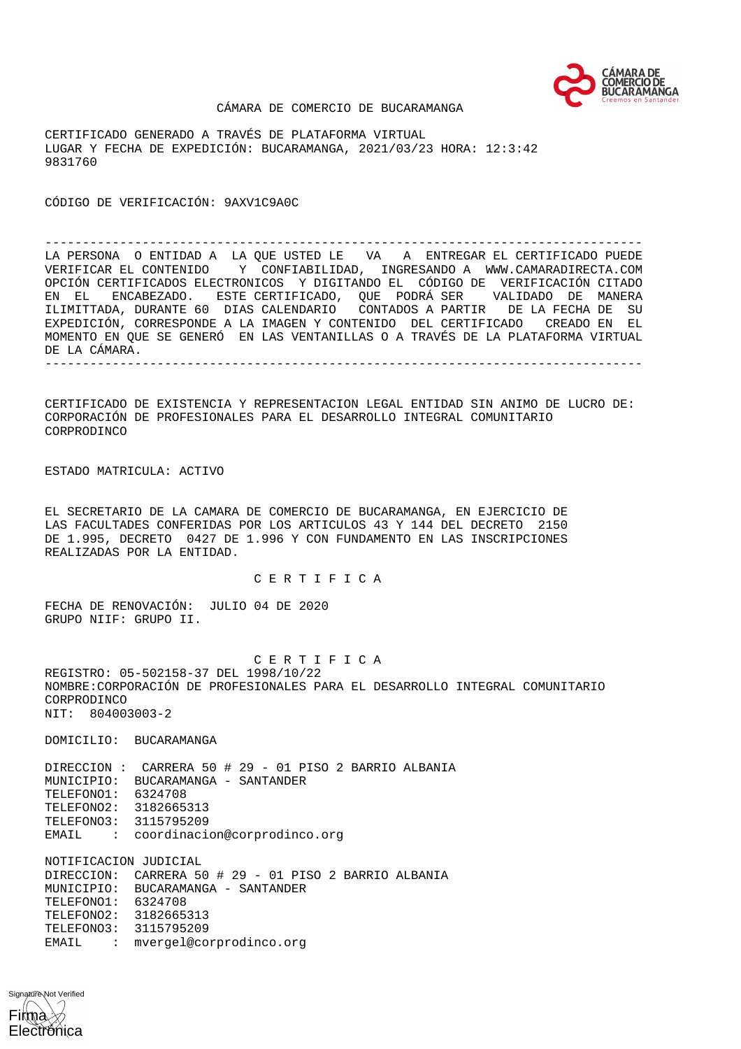

#### CÁMARA DE COMERCIO DE BUCARAMANGA

CERTIFICADO GENERADO A TRAVÉS DE PLATAFORMA VIRTUAL LUGAR Y FECHA DE EXPEDICIÓN: BUCARAMANGA, 2021/03/23 HORA: 12:3:42 9831760

CÓDIGO DE VERIFICACIÓN: 9AXV1C9A0C

-------------------------------------------------------------------------------- LA PERSONA O ENTIDAD A LA QUE USTED LE VA A ENTREGAR EL CERTIFICADO PUEDE VERIFICAR EL CONTENIDO Y CONFIABILIDAD, INGRESANDO A WWW.CAMARADIRECTA.COM OPCIÓN CERTIFICADOS ELECTRONICOS Y DIGITANDO EL CÓDIGO DE VERIFICACIÓN CITADO EN EL ENCABEZADO. ESTE CERTIFICADO, QUE PODRÁ SER VALIDADO DE MANERA ILIMITTADA, DURANTE 60 DIAS CALENDARIO CONTADOS A PARTIR DE LA FECHA DE SU EXPEDICIÓN, CORRESPONDE A LA IMAGEN Y CONTENIDO DEL CERTIFICADO CREADO EN EL MOMENTO EN QUE SE GENERÓ EN LAS VENTANILLAS O A TRAVÉS DE LA PLATAFORMA VIRTUAL DE LA CÁMARA. --------------------------------------------------------------------------------

CERTIFICADO DE EXISTENCIA Y REPRESENTACION LEGAL ENTIDAD SIN ANIMO DE LUCRO DE: CORPORACIÓN DE PROFESIONALES PARA EL DESARROLLO INTEGRAL COMUNITARIO CORPRODINCO

ESTADO MATRICULA: ACTIVO

EL SECRETARIO DE LA CAMARA DE COMERCIO DE BUCARAMANGA, EN EJERCICIO DE LAS FACULTADES CONFERIDAS POR LOS ARTICULOS 43 Y 144 DEL DECRETO 2150 DE 1.995, DECRETO 0427 DE 1.996 Y CON FUNDAMENTO EN LAS INSCRIPCIONES REALIZADAS POR LA ENTIDAD.

## C E R T I F I C A

FECHA DE RENOVACIÓN: JULIO 04 DE 2020 GRUPO NIIF: GRUPO II.

 C E R T I F I C A REGISTRO: 05-502158-37 DEL 1998/10/22 NOMBRE:CORPORACIÓN DE PROFESIONALES PARA EL DESARROLLO INTEGRAL COMUNITARIO CORPRODINCO NIT: 804003003-2

DOMICILIO: BUCARAMANGA

DIRECCION : CARRERA 50 # 29 - 01 PISO 2 BARRIO ALBANIA MUNICIPIO: BUCARAMANGA - SANTANDER TELEFONO1: 6324708 TELEFONO2: 3182665313 TELEFONO3: 3115795209 EMAIL : coordinacion@corprodinco.org

NOTIFICACION JUDICIAL DIRECCION: CARRERA 50 # 29 - 01 PISO 2 BARRIO ALBANIA MUNICIPIO: BUCARAMANGA - SANTANDER TELEFONO1: 6324708 TELEFONO2: 3182665313 TELEFONO3: 3115795209 EMAIL : mvergel@corprodinco.org

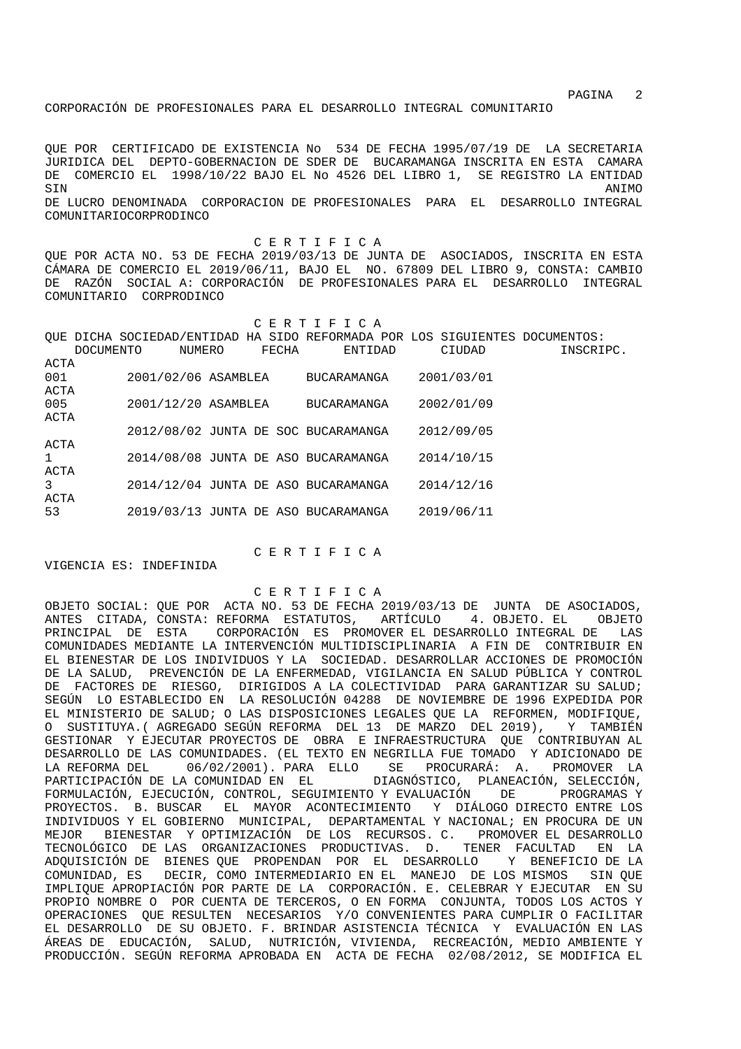CORPORACIÓN DE PROFESIONALES PARA EL DESARROLLO INTEGRAL COMUNITARIO

QUE POR CERTIFICADO DE EXISTENCIA No 534 DE FECHA 1995/07/19 DE LA SECRETARIA JURIDICA DEL DEPTO-GOBERNACION DE SDER DE BUCARAMANGA INSCRITA EN ESTA CAMARA DE COMERCIO EL 1998/10/22 BAJO EL No 4526 DEL LIBRO 1, SE REGISTRO LA ENTIDAD SIN ANIMO DE LUCRO DENOMINADA CORPORACION DE PROFESIONALES PARA EL DESARROLLO INTEGRAL COMUNITARIOCORPRODINCO

 C E R T I F I C A QUE POR ACTA NO. 53 DE FECHA 2019/03/13 DE JUNTA DE ASOCIADOS, INSCRITA EN ESTA CÁMARA DE COMERCIO EL 2019/06/11, BAJO EL NO. 67809 DEL LIBRO 9, CONSTA: CAMBIO DE RAZÓN SOCIAL A: CORPORACIÓN DE PROFESIONALES PARA EL DESARROLLO INTEGRAL COMUNITARIO CORPRODINCO

 C E R T I F I C A QUE DICHA SOCIEDAD/ENTIDAD HA SIDO REFORMADA POR LOS SIGUIENTES DOCUMENTOS: DOCUMENTO NUMERO FECHA ENTIDAD CIUDAD INSCRIPC.

| ACTA |                     |  |                                     |            |
|------|---------------------|--|-------------------------------------|------------|
| 001  | 2001/02/06 ASAMBLEA |  | <b>BUCARAMANGA</b>                  | 2001/03/01 |
| ACTA |                     |  |                                     |            |
| 005  | 2001/12/20 ASAMBLEA |  | <b>BUCARAMANGA</b>                  | 2002/01/09 |
| ACTA |                     |  |                                     |            |
|      |                     |  | 2012/08/02 JUNTA DE SOC BUCARAMANGA | 2012/09/05 |
| ACTA |                     |  |                                     |            |
| 1    |                     |  | 2014/08/08 JUNTA DE ASO BUCARAMANGA | 2014/10/15 |
| ACTA |                     |  |                                     |            |
| 3    |                     |  | 2014/12/04 JUNTA DE ASO BUCARAMANGA | 2014/12/16 |
| ACTA |                     |  |                                     |            |
| 53   |                     |  | 2019/03/13 JUNTA DE ASO BUCARAMANGA | 2019/06/11 |
|      |                     |  |                                     |            |

VIGENCIA ES: INDEFINIDA

# C E R T I F I C A

C E R T I F I C A

OBJETO SOCIAL: QUE POR ACTA NO. 53 DE FECHA 2019/03/13 DE JUNTA DE ASOCIADOS, ANTES CITADA, CONSTA: REFORMA ESTATUTOS, ARTÍCULO 4. OBJETO. EL OBJETO PRINCIPAL DE ESTA CORPORACIÓN ES PROMOVER EL DESARROLLO INTEGRAL DE LAS COMUNIDADES MEDIANTE LA INTERVENCIÓN MULTIDISCIPLINARIA A FIN DE CONTRIBUIR EN EL BIENESTAR DE LOS INDIVIDUOS Y LA SOCIEDAD. DESARROLLAR ACCIONES DE PROMOCIÓN DE LA SALUD, PREVENCIÓN DE LA ENFERMEDAD, VIGILANCIA EN SALUD PÚBLICA Y CONTROL DE FACTORES DE RIESGO, DIRIGIDOS A LA COLECTIVIDAD PARA GARANTIZAR SU SALUD; SEGÚN LO ESTABLECIDO EN LA RESOLUCIÓN 04288 DE NOVIEMBRE DE 1996 EXPEDIDA POR EL MINISTERIO DE SALUD; O LAS DISPOSICIONES LEGALES QUE LA REFORMEN, MODIFIQUE, O SUSTITUYA.( AGREGADO SEGÚN REFORMA DEL 13 DE MARZO DEL 2019), Y TAMBIÉN GESTIONAR Y EJECUTAR PROYECTOS DE OBRA E INFRAESTRUCTURA QUE CONTRIBUYAN AL DESARROLLO DE LAS COMUNIDADES. (EL TEXTO EN NEGRILLA FUE TOMADO Y ADICIONADO DE LA REFORMA DEL 06/02/2001). PARA ELLO SE PROCURARÁ: A. PROMOVER LA PARTICIPACIÓN DE LA COMUNIDAD EN EL DIAGNÓSTICO, PLANEACIÓN, SELECCIÓN, FORMULACIÓN, EJECUCIÓN, CONTROL, SEGUIMIENTO Y EVALUACIÓN DE PROGRAMAS Y PROYECTOS. B. BUSCAR EL MAYOR ACONTECIMIENTO Y DIÁLOGO DIRECTO ENTRE LOS INDIVIDUOS Y EL GOBIERNO MUNICIPAL, DEPARTAMENTAL Y NACIONAL; EN PROCURA DE UN MEJOR BIENESTAR Y OPTIMIZACIÓN DE LOS RECURSOS. C. PROMOVER EL DESARROLLO TECNOLÓGICO DE LAS ORGANIZACIONES PRODUCTIVAS. D. TENER FACULTAD EN LA ADQUISICIÓN DE BIENES QUE PROPENDAN POR EL DESARROLLO Y BENEFICIO DE LA COMUNIDAD, ES DECIR, COMO INTERMEDIARIO EN EL MANEJO DE LOS MISMOS SIN QUE IMPLIQUE APROPIACIÓN POR PARTE DE LA CORPORACIÓN. E. CELEBRAR Y EJECUTAR EN SU PROPIO NOMBRE O POR CUENTA DE TERCEROS, O EN FORMA CONJUNTA, TODOS LOS ACTOS Y OPERACIONES QUE RESULTEN NECESARIOS Y/O CONVENIENTES PARA CUMPLIR O FACILITAR EL DESARROLLO DE SU OBJETO. F. BRINDAR ASISTENCIA TÉCNICA Y EVALUACIÓN EN LAS ÁREAS DE EDUCACIÓN, SALUD, NUTRICIÓN, VIVIENDA, RECREACIÓN, MEDIO AMBIENTE Y PRODUCCIÓN. SEGÚN REFORMA APROBADA EN ACTA DE FECHA 02/08/2012, SE MODIFICA EL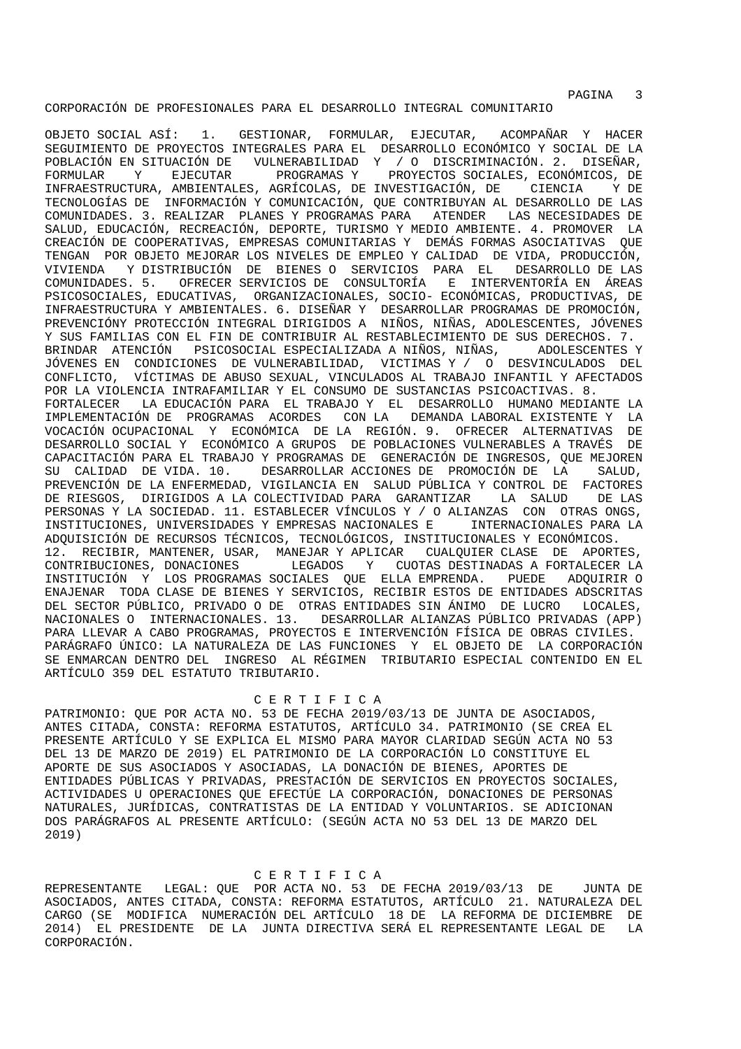CORPORACIÓN DE PROFESIONALES PARA EL DESARROLLO INTEGRAL COMUNITARIO

OBJETO SOCIAL ASÍ: 1. GESTIONAR, FORMULAR, EJECUTAR, ACOMPAÑAR Y HACER SEGUIMIENTO DE PROYECTOS INTEGRALES PARA EL DESARROLLO ECONÓMICO Y SOCIAL DE LA POBLACIÓN EN SITUACIÓN DE VULNERABILIDAD Y / O DISCRIMINACIÓN. 2. DISEÑAR, FORMULAR Y EJECUTAR PROGRAMAS Y PROYECTOS SOCIALES, ECONÓMICOS, DE INFRAESTRUCTURA, AMBIENTALES, AGRÍCOLAS, DE INVESTIGACIÓN, DE CIENCIA Y DE TECNOLOGÍAS DE INFORMACIÓN Y COMUNICACIÓN, QUE CONTRIBUYAN AL DESARROLLO DE LAS COMUNIDADES. 3. REALIZAR PLANES Y PROGRAMAS PARA ATENDER LAS NECESIDADES DE SALUD, EDUCACIÓN, RECREACIÓN, DEPORTE, TURISMO Y MEDIO AMBIENTE. 4. PROMOVER LA CREACIÓN DE COOPERATIVAS, EMPRESAS COMUNITARIAS Y DEMÁS FORMAS ASOCIATIVAS QUE TENGAN POR OBJETO MEJORAR LOS NIVELES DE EMPLEO Y CALIDAD DE VIDA, PRODUCCIÓN, VIVIENDA Y DISTRIBUCIÓN DE BIENES O SERVICIOS PARA EL DESARROLLO DE LAS COMUNIDADES. 5. OFRECER SERVICIOS DE CONSULTORÍA E INTERVENTORÍA EN ÁREAS PSICOSOCIALES, EDUCATIVAS, ORGANIZACIONALES, SOCIO- ECONÓMICAS, PRODUCTIVAS, DE INFRAESTRUCTURA Y AMBIENTALES. 6. DISEÑAR Y DESARROLLAR PROGRAMAS DE PROMOCIÓN, PREVENCIÓNY PROTECCIÓN INTEGRAL DIRIGIDOS A NIÑOS, NIÑAS, ADOLESCENTES, JÓVENES Y SUS FAMILIAS CON EL FIN DE CONTRIBUIR AL RESTABLECIMIENTO DE SUS DERECHOS. 7. BRINDAR ATENCIÓN PSICOSOCIAL ESPECIALIZADA A NIÑOS, NIÑAS, ADOLESCENTES Y JÓVENES EN CONDICIONES DE VULNERABILIDAD, VICTIMAS Y / O DESVINCULADOS DEL CONFLICTO, VÍCTIMAS DE ABUSO SEXUAL, VINCULADOS AL TRABAJO INFANTIL Y AFECTADOS POR LA VIOLENCIA INTRAFAMILIAR Y EL CONSUMO DE SUSTANCIAS PSICOACTIVAS. 8. FORTALECER LA EDUCACIÓN PARA EL TRABAJO Y EL DESARROLLO HUMANO MEDIANTE LA IMPLEMENTACIÓN DE PROGRAMAS ACORDES CON LA DEMANDA LABORAL EXISTENTE Y LA VOCACIÓN OCUPACIONAL Y ECONÓMICA DE LA REGIÓN. 9. OFRECER ALTERNATIVAS DE DESARROLLO SOCIAL Y ECONÓMICO A GRUPOS DE POBLACIONES VULNERABLES A TRAVÉS DE CAPACITACIÓN PARA EL TRABAJO Y PROGRAMAS DE GENERACIÓN DE INGRESOS, QUE MEJOREN SU CALIDAD DE VIDA. 10. DESARROLLAR ACCIONES DE PROMOCIÓN DE LA SALUD, PREVENCIÓN DE LA ENFERMEDAD, VIGILANCIA EN SALUD PÚBLICA Y CONTROL DE FACTORES DE RIESGOS, DIRIGIDOS A LA COLECTIVIDAD PARA GARANTIZAR LA SALUD DE LAS PERSONAS Y LA SOCIEDAD. 11. ESTABLECER VÍNCULOS Y / O ALIANZAS CON OTRAS ONGS, INSTITUCIONES, UNIVERSIDADES Y EMPRESAS NACIONALES E INTERNACIONALES PARA LA ADQUISICIÓN DE RECURSOS TÉCNICOS, TECNOLÓGICOS, INSTITUCIONALES Y ECONÓMICOS. 12. RECIBIR, MANTENER, USAR, MANEJAR Y APLICAR CUALQUIER CLASE DE APORTES, CONTRIBUCIONES, DONACIONES LEGADOS Y CUOTAS DESTINADAS A FORTALECER LA INSTITUCIÓN Y LOS PROGRAMAS SOCIALES QUE ELLA EMPRENDA. PUEDE ADQUIRIR O ENAJENAR TODA CLASE DE BIENES Y SERVICIOS, RECIBIR ESTOS DE ENTIDADES ADSCRITAS DEL SECTOR PÚBLICO, PRIVADO O DE OTRAS ENTIDADES SIN ÁNIMO DE LUCRO LOCALES, NACIONALES O INTERNACIONALES. 13. DESARROLLAR ALIANZAS PÚBLICO PRIVADAS (APP) PARA LLEVAR A CABO PROGRAMAS, PROYECTOS E INTERVENCIÓN FÍSICA DE OBRAS CIVILES.

PARÁGRAFO ÚNICO: LA NATURALEZA DE LAS FUNCIONES Y EL OBJETO DE LA CORPORACIÓN SE ENMARCAN DENTRO DEL INGRESO AL RÉGIMEN TRIBUTARIO ESPECIAL CONTENIDO EN EL ARTÍCULO 359 DEL ESTATUTO TRIBUTARIO.

# C E R T I F I C A

PATRIMONIO: QUE POR ACTA NO. 53 DE FECHA 2019/03/13 DE JUNTA DE ASOCIADOS, ANTES CITADA, CONSTA: REFORMA ESTATUTOS, ARTÍCULO 34. PATRIMONIO (SE CREA EL PRESENTE ARTÍCULO Y SE EXPLICA EL MISMO PARA MAYOR CLARIDAD SEGÚN ACTA NO 53 DEL 13 DE MARZO DE 2019) EL PATRIMONIO DE LA CORPORACIÓN LO CONSTITUYE EL APORTE DE SUS ASOCIADOS Y ASOCIADAS, LA DONACIÓN DE BIENES, APORTES DE ENTIDADES PÚBLICAS Y PRIVADAS, PRESTACIÓN DE SERVICIOS EN PROYECTOS SOCIALES, ACTIVIDADES U OPERACIONES QUE EFECTÚE LA CORPORACIÓN, DONACIONES DE PERSONAS NATURALES, JURÍDICAS, CONTRATISTAS DE LA ENTIDAD Y VOLUNTARIOS. SE ADICIONAN DOS PARÁGRAFOS AL PRESENTE ARTÍCULO: (SEGÚN ACTA NO 53 DEL 13 DE MARZO DEL 2019)

## C E R T I F I C A

REPRESENTANTE LEGAL: QUE POR ACTA NO. 53 DE FECHA 2019/03/13 DE JUNTA DE ASOCIADOS, ANTES CITADA, CONSTA: REFORMA ESTATUTOS, ARTÍCULO 21. NATURALEZA DEL CARGO (SE MODIFICA NUMERACIÓN DEL ARTÍCULO 18 DE LA REFORMA DE DICIEMBRE DE 2014) EL PRESIDENTE DE LA JUNTA DIRECTIVA SERÁ EL REPRESENTANTE LEGAL DE LA CORPORACIÓN.

PAGINA 3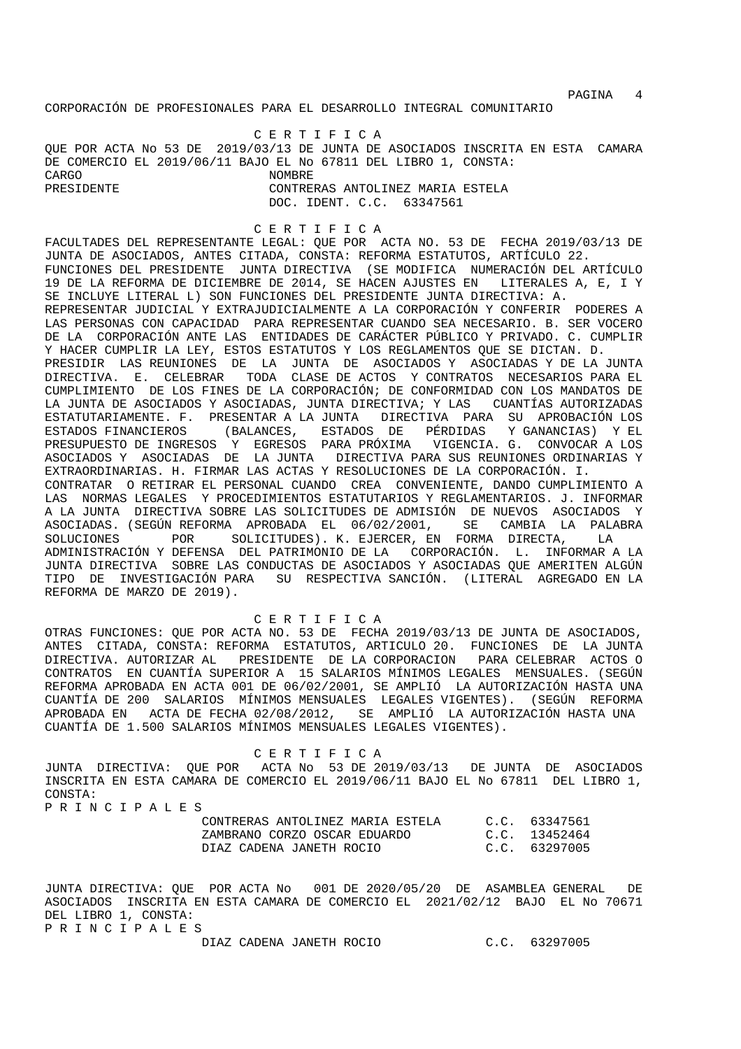CORPORACIÓN DE PROFESIONALES PARA EL DESARROLLO INTEGRAL COMUNITARIO

 C E R T I F I C A QUE POR ACTA No 53 DE 2019/03/13 DE JUNTA DE ASOCIADOS INSCRITA EN ESTA CAMARA DE COMERCIO EL 2019/06/11 BAJO EL No 67811 DEL LIBRO 1, CONSTA: CARGO NOMBRE CONTRERAS ANTOLINEZ MARIA ESTELA DOC. IDENT. C.C. 63347561

#### C E R T I F I C A

FACULTADES DEL REPRESENTANTE LEGAL: QUE POR ACTA NO. 53 DE FECHA 2019/03/13 DE JUNTA DE ASOCIADOS, ANTES CITADA, CONSTA: REFORMA ESTATUTOS, ARTÍCULO 22. FUNCIONES DEL PRESIDENTE JUNTA DIRECTIVA (SE MODIFICA NUMERACIÓN DEL ARTÍCULO 19 DE LA REFORMA DE DICIEMBRE DE 2014, SE HACEN AJUSTES EN LITERALES A, E, I Y SE INCLUYE LITERAL L) SON FUNCIONES DEL PRESIDENTE JUNTA DIRECTIVA: A. REPRESENTAR JUDICIAL Y EXTRAJUDICIALMENTE A LA CORPORACIÓN Y CONFERIR PODERES A

LAS PERSONAS CON CAPACIDAD PARA REPRESENTAR CUANDO SEA NECESARIO. B. SER VOCERO DE LA CORPORACIÓN ANTE LAS ENTIDADES DE CARÁCTER PÚBLICO Y PRIVADO. C. CUMPLIR Y HACER CUMPLIR LA LEY, ESTOS ESTATUTOS Y LOS REGLAMENTOS QUE SE DICTAN. D.

PRESIDIR LAS REUNIONES DE LA JUNTA DE ASOCIADOS Y ASOCIADAS Y DE LA JUNTA DIRECTIVA. E. CELEBRAR TODA CLASE DE ACTOS Y CONTRATOS NECESARIOS PARA EL CUMPLIMIENTO DE LOS FINES DE LA CORPORACIÓN; DE CONFORMIDAD CON LOS MANDATOS DE LA JUNTA DE ASOCIADOS Y ASOCIADAS, JUNTA DIRECTIVA; Y LAS CUANTÍAS AUTORIZADAS ESTATUTARIAMENTE. F. PRESENTAR A LA JUNTA DIRECTIVA PARA SU APROBACIÓN LOS ESTADOS FINANCIEROS (BALANCES, ESTADOS DE PÉRDIDAS Y GANANCIAS) Y EL PRESUPUESTO DE INGRESOS Y EGRESOS PARA PRÓXIMA VIGENCIA. G. CONVOCAR A LOS ASOCIADOS Y ASOCIADAS DE LA JUNTA DIRECTIVA PARA SUS REUNIONES ORDINARIAS Y EXTRAORDINARIAS. H. FIRMAR LAS ACTAS Y RESOLUCIONES DE LA CORPORACIÓN. I. CONTRATAR O RETIRAR EL PERSONAL CUANDO CREA CONVENIENTE, DANDO CUMPLIMIENTO A LAS NORMAS LEGALES Y PROCEDIMIENTOS ESTATUTARIOS Y REGLAMENTARIOS. J. INFORMAR A LA JUNTA DIRECTIVA SOBRE LAS SOLICITUDES DE ADMISIÓN DE NUEVOS ASOCIADOS Y ASOCIADAS. (SEGÚN REFORMA APROBADA EL 06/02/2001, SE CAMBIA LA PALABRA SOLUCIONES POR SOLICITUDES). K. EJERCER, EN FORMA DIRECTA, LA ADMINISTRACIÓN Y DEFENSA DEL PATRIMONIO DE LA CORPORACIÓN. L. INFORMAR A LA JUNTA DIRECTIVA SOBRE LAS CONDUCTAS DE ASOCIADOS Y ASOCIADAS QUE AMERITEN ALGÚN TIPO DE INVESTIGACIÓN PARA SU RESPECTIVA SANCIÓN. (LITERAL AGREGADO EN LA REFORMA DE MARZO DE 2019).

### C E R T I F I C A

OTRAS FUNCIONES: QUE POR ACTA NO. 53 DE FECHA 2019/03/13 DE JUNTA DE ASOCIADOS, ANTES CITADA, CONSTA: REFORMA ESTATUTOS, ARTICULO 20. FUNCIONES DE LA JUNTA DIRECTIVA. AUTORIZAR AL PRESIDENTE DE LA CORPORACION PARA CELEBRAR ACTOS O CONTRATOS EN CUANTÍA SUPERIOR A 15 SALARIOS MÍNIMOS LEGALES MENSUALES. (SEGÚN REFORMA APROBADA EN ACTA 001 DE 06/02/2001, SE AMPLIÓ LA AUTORIZACIÓN HASTA UNA CUANTÍA DE 200 SALARIOS MÍNIMOS MENSUALES LEGALES VIGENTES). (SEGÚN REFORMA APROBADA EN ACTA DE FECHA 02/08/2012, SE AMPLIÓ LA AUTORIZACIÓN HASTA UNA CUANTÍA DE 1.500 SALARIOS MÍNIMOS MENSUALES LEGALES VIGENTES).

C E R T I F I C A<br>JUNTA DIRECTIVA: QUE POR ACTA No 53 DE 2 ACTA No 53 DE 2019/03/13 DE JUNTA DE ASOCIADOS INSCRITA EN ESTA CAMARA DE COMERCIO EL 2019/06/11 BAJO EL No 67811 DEL LIBRO 1, CONSTA: P R I N C T P A T. F C

|  |  |  | F A I N C I F A H B D |  |                   |
|--|--|--|-----------------------|--|-------------------|
|  |  |  |                       |  | $C\cap N$ ים מידי |

| CONTRERAS ANTOLINEZ MARIA ESTELA | C.C. 63347561 |
|----------------------------------|---------------|
| ZAMBRANO CORZO OSCAR EDUARDO     | C.C. 13452464 |
| DIAZ CADENA JANETH ROCIO         | C.C. 63297005 |

JUNTA DIRECTIVA: QUE POR ACTA No 001 DE 2020/05/20 DE ASAMBLEA GENERAL DE ASOCIADOS INSCRITA EN ESTA CAMARA DE COMERCIO EL 2021/02/12 BAJO EL No 70671 DEL LIBRO 1, CONSTA: P R I N C I P A L E S

DIAZ CADENA JANETH ROCIO C.C. 63297005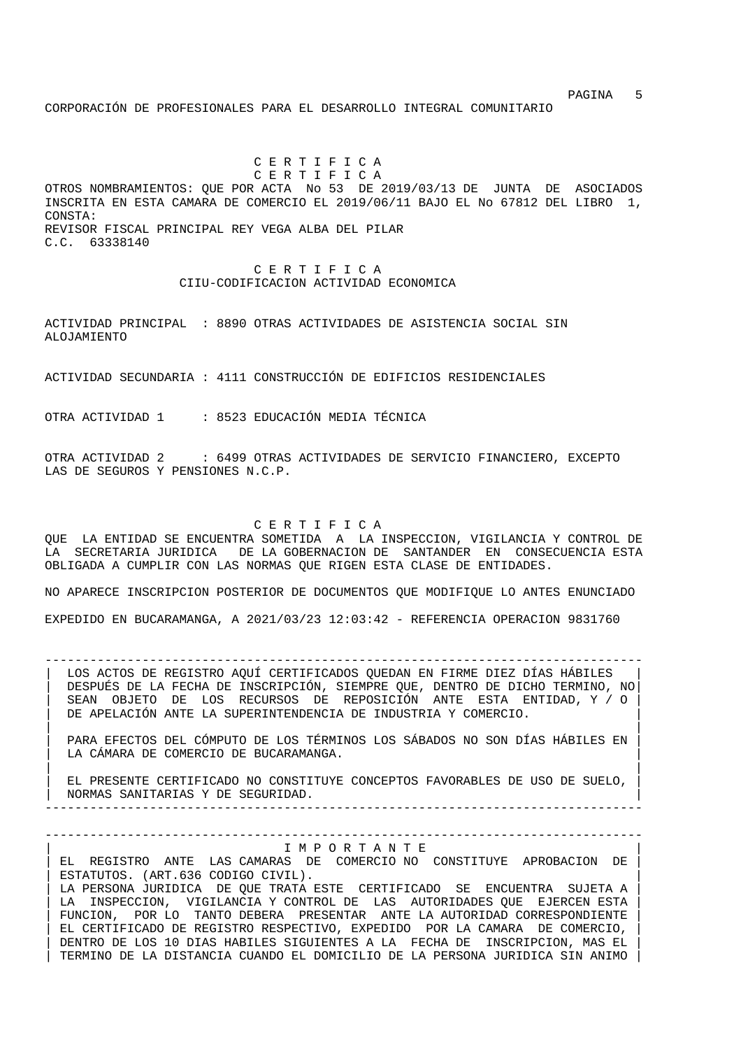PAGINA 5 CORPORACIÓN DE PROFESIONALES PARA EL DESARROLLO INTEGRAL COMUNITARIO

 C E R T I F I C A C E R T I F I C A OTROS NOMBRAMIENTOS: QUE POR ACTA No 53 DE 2019/03/13 DE JUNTA DE ASOCIADOS INSCRITA EN ESTA CAMARA DE COMERCIO EL 2019/06/11 BAJO EL No 67812 DEL LIBRO 1, CONSTA: REVISOR FISCAL PRINCIPAL REY VEGA ALBA DEL PILAR C.C. 63338140

> C E R T I F I C A CIIU-CODIFICACION ACTIVIDAD ECONOMICA

ACTIVIDAD PRINCIPAL : 8890 OTRAS ACTIVIDADES DE ASISTENCIA SOCIAL SIN ALOJAMIENTO

ACTIVIDAD SECUNDARIA : 4111 CONSTRUCCIÓN DE EDIFICIOS RESIDENCIALES

OTRA ACTIVIDAD 1 : 8523 EDUCACIÓN MEDIA TÉCNICA

OTRA ACTIVIDAD 2 : 6499 OTRAS ACTIVIDADES DE SERVICIO FINANCIERO, EXCEPTO LAS DE SEGUROS Y PENSIONES N.C.P.

C E R T I F I C A

QUE LA ENTIDAD SE ENCUENTRA SOMETIDA A LA INSPECCION, VIGILANCIA Y CONTROL DE LA SECRETARIA JURIDICA DE LA GOBERNACION DE SANTANDER EN CONSECUENCIA ESTA OBLIGADA A CUMPLIR CON LAS NORMAS QUE RIGEN ESTA CLASE DE ENTIDADES.

NO APARECE INSCRIPCION POSTERIOR DE DOCUMENTOS QUE MODIFIQUE LO ANTES ENUNCIADO EXPEDIDO EN BUCARAMANGA, A 2021/03/23 12:03:42 - REFERENCIA OPERACION 9831760

-------------------------------------------------------------------------------- LOS ACTOS DE REGISTRO AQUÍ CERTIFICADOS QUEDAN EN FIRME DIEZ DÍAS HÁBILES | DESPUÉS DE LA FECHA DE INSCRIPCIÓN, SIEMPRE QUE, DENTRO DE DICHO TERMINO, NO| | SEAN OBJETO DE LOS RECURSOS DE REPOSICIÓN ANTE ESTA ENTIDAD, Y / O | DE APELACIÓN ANTE LA SUPERINTENDENCIA DE INDUSTRIA Y COMERCIO.

| | | PARA EFECTOS DEL CÓMPUTO DE LOS TÉRMINOS LOS SÁBADOS NO SON DÍAS HÁBILES EN | LA CÁMARA DE COMERCIO DE BUCARAMANGA.

| | | EL PRESENTE CERTIFICADO NO CONSTITUYE CONCEPTOS FAVORABLES DE USO DE SUELO, | | NORMAS SANITARIAS Y DE SEGURIDAD. |

--------------------------------------------------------------------------------

--------------------------------------------------------------------------------

#### | I M P O R T A N T E |

| EL REGISTRO ANTE LAS CAMARAS DE COMERCIO NO CONSTITUYE APROBACION DE | ESTATUTOS. (ART.636 CODIGO CIVIL). LA PERSONA JURIDICA DE QUE TRATA ESTE CERTIFICADO SE ENCUENTRA SUJETA A LA INSPECCION, VIGILANCIA Y CONTROL DE LAS AUTORIDADES QUE EJERCEN ESTA FUNCION, POR LO TANTO DEBERA PRESENTAR ANTE LA AUTORIDAD CORRESPONDIENTE | EL CERTIFICADO DE REGISTRO RESPECTIVO, EXPEDIDO POR LA CAMARA DE COMERCIO, | | DENTRO DE LOS 10 DIAS HABILES SIGUIENTES A LA FECHA DE INSCRIPCION, MAS EL | | TERMINO DE LA DISTANCIA CUANDO EL DOMICILIO DE LA PERSONA JURIDICA SIN ANIMO |